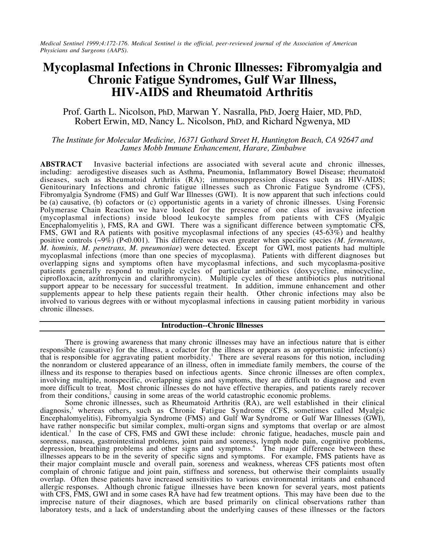*Medical Sentinel 1999;4:172-176. Medical Sentinel is the official, peer-reviewed journal of the Association of American Physicians and Surgeons (AAPS).*

# **Mycoplasmal Infections in Chronic Illnesses: Fibromyalgia and Chronic Fatigue Syndromes, Gulf War Illness, HIV-AIDS and Rheumatoid Arthritis**

Prof. Garth L. Nicolson, PhD, Marwan Y. Nasralla, PhD, Joerg Haier, MD, PhD, Robert Erwin, MD, Nancy L. Nicolson, PhD, and Richard Ngwenya, MD

## *The Institute for Molecular Medicine, 16371 Gothard Street H, Huntington Beach, CA 92647 and James Mobb Immune Enhancement, Harare, Zimbabwe*

**ABSTRACT** Invasive bacterial infections are associated with several acute and chronic illnesses, including: aerodigestive diseases such as Asthma, Pneumonia, Inflammatory Bowel Disease; rheumatoid diseases, such as Rheumatoid Arthritis (RA); immunosuppression diseases such as HIV-AIDS; Genitourinary Infections and chronic fatigue illnesses such as Chronic Fatigue Syndrome (CFS), Fibromyalgia Syndrome (FMS) and Gulf War Illnesses (GWI). It is now apparent that such infections could be (a) causative, (b) cofactors or (c) opportunistic agents in a variety of chronic illnesses. Using Forensic Polymerase Chain Reaction we have looked for the presence of one class of invasive infection (mycoplasmal infections) inside blood leukocyte samples from patients with CFS (Myalgic Encephalomyelitis ), FMS, RA and GWI. There was a significant difference between symptomatic CFS, FMS, GWI and RA patients with positive mycoplasmal infections of any species (45-63%) and healthy positive controls (~9%) (P<0.001). This difference was even greater when specific species *(M. fermentans, M. hominis, M. penetrans, M. pneumoniae*) were detected. Except for GWI, most patients had multiple mycoplasmal infections (more than one species of mycoplasma). Patients with different diagnoses but overlapping signs and symptoms often have mycoplasmal infections, and such mycoplasma-positive patients generally respond to multiple cycles of particular antibiotics (doxycycline, minocycline, ciprofloxacin, azithromycin and clarithromycin). Multiple cycles of these antibiotics plus nutritional support appear to be necessary for successful treatment. In addition, immune enhancement and other supplements appear to help these patients regain their health. Other chronic infections may also be involved to various degrees with or without mycoplasmal infections in causing patient morbidity in various chronic illnesses.

#### **Introduction--Chronic Illnesses**

There is growing awareness that many chronic illnesses may have an infectious nature that is either responsible (causative) for the illness, a cofactor for the illness or appears as an opportunistic infection(s) that is responsible for aggravating patient morbidity.<sup>1</sup> There are several reasons for this notion, including the nonrandom or clustered appearance of an illness, often in immediate family members, the course of the illness and its response to therapies based on infectious agents. Since chronic illnesses are often complex, involving multiple, nonspecific, overlapping signs and symptoms, they are difficult to diagnose and even more difficult to treat. Most chronic illnesses do not have effective therapies, and patients rarely recover from their conditions, $2$  causing in some areas of the world catastrophic economic problems.

Some chronic illnesses, such as Rheumatoid Arthritis (RA), are well established in their clinical diagnosis,<sup>3</sup> whereas others, such as Chronic Fatigue Syndrome (CFS, sometimes called Myalgic Encephalomyelitis), Fibromyalgia Syndrome (FMS) and Gulf War Syndrome or Gulf War Illnesses (GWI), have rather nonspecific but similar complex, multi-organ signs and symptoms that overlap or are almost identical.<sup>1</sup> In the case of CFS, FMS and GWI these include: chronic fatigue, headaches, muscle pain and soreness, nausea, gastrointestinal problems, joint pain and soreness, lymph node pain, cognitive problems, depression, breathing problems and other signs and symptoms.<sup>4</sup> The major difference between these illnesses appears to be in the severity of specific signs and symptoms. For example, FMS patients have as their major complaint muscle and overall pain, soreness and weakness, whereas CFS patients most often complain of chronic fatigue and joint pain, stiffness and soreness, but otherwise their complaints usually overlap. Often these patients have increased sensitivities to various environmental irritants and enhanced allergic responses. Although chronic fatigue illnesses have been known for several years, most patients with CFS, FMS, GWI and in some cases RA have had few treatment options. This may have been due to the imprecise nature of their diagnoses, which are based primarily on clinical observations rather than laboratory tests, and a lack of understanding about the underlying causes of these illnesses or the factors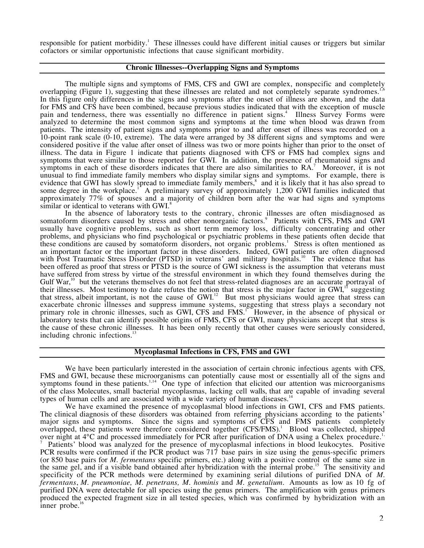responsible for patient morbidity.<sup>1</sup> These illnesses could have different initial causes or triggers but similar cofactors or similar opportunistic infections that cause significant morbidity.

## **Chronic Illnesses--Overlapping Signs and Symptoms**

The multiple signs and symptoms of FMS, CFS and GWI are complex, nonspecific and completely overlapping (Figure 1), suggesting that these illnesses are related and not completely separate syndromes.<sup>1</sup> In this figure only differences in the signs and symptoms after the onset of illness are shown, and the data for FMS and CFS have been combined, because previous studies indicated that with the exception of muscle pain and tenderness, there was essentially no difference in patient signs.<sup>4</sup> Illness Survey Forms were analyzed to determine the most common signs and symptoms at the time when blood was drawn from patients. The intensity of patient signs and symptoms prior to and after onset of illness was recorded on a 10-point rank scale (0-10, extreme). The data were arranged by 38 different signs and symptoms and were considered positive if the value after onset of illness was two or more points higher than prior to the onset of illness. The data in Figure 1 indicate that patients diagnosed with CFS or FMS had complex signs and symptoms that were similar to those reported for GWI. In addition, the presence of rheumatoid signs and symptoms in each of these disorders indicates that there are also similarities to  $RA$ .<sup>7</sup> Moreover, it is not unusual to find immediate family members who display similar signs and symptoms. For example, there is evidence that GWI has slowly spread to immediate family members,<sup>8</sup> and it is likely that it has also spread to some degree in the workplace.<sup>1</sup> A preliminary survey of approximately 1,200 GWI families indicated that approximately 77% of spouses and a majority of children born after the war had signs and symptoms similar or identical to veterans with GWI.<sup>8</sup>

In the absence of laboratory tests to the contrary, chronic illnesses are often misdiagnosed as somatoform disorders caused by stress and other nonorganic factors.<sup>9</sup> Patients with CFS, FMS and GWI usually have cognitive problems, such as short term memory loss, difficulty concentrating and other problems, and physicians who find psychological or psychiatric problems in these patients often decide that these conditions are caused by somatoform disorders, not organic problems.<sup>1</sup> Stress is often mentioned as an important factor or the important factor in these disorders. Indeed, GWI patients are often diagnosed with Post Traumatic Stress Disorder (PTSD) in veterans' and military hospitals.<sup>10</sup> The evidence that has been offered as proof that stress or PTSD is the source of GWI sickness is the assumption that veterans must have suffered from stress by virtue of the stressful environment in which they found themselves during the Gulf War,<sup>10</sup> but the veterans themselves do not feel that stress-related diagnoses are an accurate portrayal of their illnesses. Most testimony to date refutes the notion that stress is the major factor in GWI,<sup>11</sup> suggesting that stress, albeit important, is not the cause of GWI.<sup>12</sup> But most physicians would agree that stress can exacerbate chronic illnesses and suppress immune systems, suggesting that stress plays a secondary not primary role in chronic illnesses, such as GWI, CFS and FMS.<sup>1</sup> However, in the absence of physical or laboratory tests that can identify possible origins of FMS, CFS or GWI, many physicians accept that stress is the cause of these chronic illnesses. It has been only recently that other causes were seriously considered, including chronic infections. $^{13}$ 

#### **Mycoplasmal Infections in CFS, FMS and GWI**

We have been particularly interested in the association of certain chronic infectious agents with CFS, FMS and GWI, because these microorganisms can potentially cause most or essentially all of the signs and symptoms found in these patients.<sup>1,14</sup> One type of infection that elicited our attention was microorganisms of the class Molecutes, small bacterial mycoplasmas, lacking cell walls, that are capable of invading several types of human cells and are associated with a wide variety of human diseases. $14$ 

We have examined the presence of mycoplasmal blood infections in GWI, CFS and FMS patients. The clinical diagnosis of these disorders was obtained from referring physicians according to the patients' major signs and symptoms. Since the signs and symptoms of  $\overrightarrow{CFS}$  and FMS patients completely overlapped, these patients were therefore considered together (CFS/FMS).<sup>1</sup> Blood was collected, shipped over night at  $4^{\circ}$ C and processed immediately for PCR after purification of DNA using a Chelex procedure.<sup>1</sup>,  $\frac{7}{4}$  Detication of  $\frac{1}{2}$  Detication of  $\frac{1}{2}$  Detication of  $\frac{1}{2}$  Detication of  $\frac{1}{2}$  De Patients' blood was analyzed for the presence of mycoplasmal infections in blood leukocytes. Positive PCR results were confirmed if the PCR product was 717 base pairs in size using the genus-specific primers (or 850 base pairs for *M. fermentans* specific primers, etc.) along with a positive control of the same size in the same gel, and if a visible band obtained after hybridization with the internal probe.<sup>15</sup> The sensitivity and specificity of the PCR methods were determined by examining serial dilutions of purified DNA of *M. fermentans*, *M. pneumoniae, M. penetrans, M. hominis* and *M. genetalium*. Amounts as low as 10 fg of purified DNA were detectable for all species using the genus primers. The amplification with genus primers produced the expected fragment size in all tested species, which was confirmed by hybridization with an inner probe. $<sup>16</sup>$ </sup>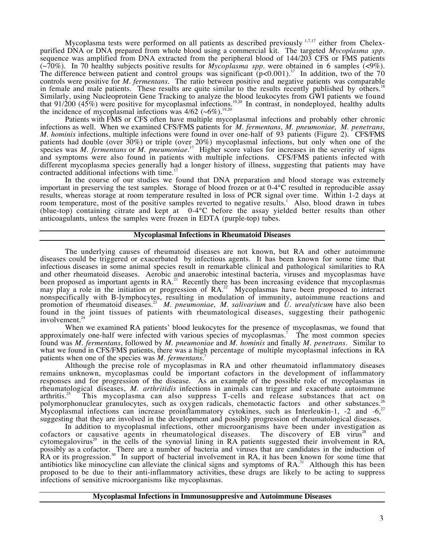Mycoplasma tests were performed on all patients as described previously  $1,7,17$  either from Chelexpurified DNA or DNA prepared from whole blood using a commercial kit. The targeted *Mycoplasma spp*. sequence was amplified from DNA extracted from the peripheral blood of 144/203 CFS or FMS patients (~70%). In 70 healthy subjects positive results for *Mycoplasma spp*. were obtained in 6 samples (<9%). The difference between patient and control groups was significant  $(p<0.001)$ .<sup>17</sup> In addition, two of the 70 controls were positive for *M. fermentans*. The ratio between positive and negative patients was comparable in female and male patients. These results are quite similar to the results recently published by others.<sup>18</sup> Similarly, using Nucleoprotein Gene Tracking to analyze the blood leukocytes from GWI patients we found that 91/200 (45%) were positive for mycoplasmal infections.19,20 In contrast, in nondeployed, healthy adults the incidence of mycoplasmal infections was  $4/62$  ( $\sim 6\%$ ).<sup>19,20</sup>

Patients with FMS or CFS often have multiple mycoplasmal infections and probably other chronic infections as well. When we examined CFS/FMS patients for *M. fermentans*, *M. pneumoniae, M. penetrans, M. hominis* infections, multiple infections were found in over one-half of 93 patients (Figure 2). CFS/FMS patients had double (over 30%) or triple (over 20%) mycoplasmal infections, but only when one of the species was *M. fermentans* or *M. pneumoniae*. 17 Higher score values for increases in the severity of signs and symptoms were also found in patients with multiple infections. CFS/FMS patients infected with different mycoplasma species generally had a longer history of illness, suggesting that patients may have contracted additional infections with time.<sup>17</sup>

In the course of our studies we found that DNA preparation and blood storage was extremely important in preserving the test samples. Storage of blood frozen or at 0-4°C resulted in reproducible assay results, whereas storage at room temperature resulted in loss of PCR signal over time. Within 1-2 days at room temperature, most of the positive samples reverted to negative results.<sup>1</sup> Also, blood drawn in tubes (blue-top) containing citrate and kept at  $0-4$ °C before the assay yielded better results than other anticoagulants, unless the samples were frozen in EDTA (purple-top) tubes.

## **Mycoplasmal Infections in Rheumatoid Diseases**

The underlying causes of rheumatoid diseases are not known, but RA and other autoimmune diseases could be triggered or exacerbated by infectious agents. It has been known for some time that infectious diseases in some animal species result in remarkable clinical and pathological similarities to RA and other rheumatoid diseases. Aerobic and anaerobic intestinal bacteria, viruses and mycoplasmas have been proposed as important agents in  $RA<sup>21</sup>$  Recently there has been increasing evidence that mycoplasmas may play a role in the initiation or progression of RA.<sup>22</sup> Mycoplasmas have been proposed to interact nonspecifically with B-lymphocytes, resulting in modulation of immunity, autoimmune reactions and promotion of rheumatoid diseases.23 *M. pneumoniae, M. salivarium* and *U. urealyticum* have also been found in the joint tissues of patients with rheumatological diseases, suggesting their pathogenic involvement.<sup>2</sup>

When we examined RA patients' blood leukocytes for the presence of mycoplasmas, we found that approximately one-half were infected with various species of mycoplasmas.7 The most common species found was *M. fermentans*, followed by *M. pneumoniae* and *M. hominis* and finally *M. penetrans*. Similar to what we found in CFS/FMS patients, there was a high percentage of multiple mycoplasmal infections in RA patients when one of the species was *M. fermentans*. 7

Although the precise role of mycoplasmas in RA and other rheumatoid inflammatory diseases remains unknown, mycoplasmas could be important cofactors in the development of inflammatory responses and for progression of the disease. As an example of the possible role of mycoplasmas in rheumatological diseases, *M. arthritidis* infections in animals can trigger and exacerbate autoimmune arthritis.<sup>25</sup> This mycoplasma can also suppress T-cells and release substances that act on This mycoplasma can also suppress T-cells and release substances that act on polymorphonuclear granulocytes, such as oxygen radicals, chemotactic factors and other substances.<sup>2</sup> Mycoplasmal infections can increase proinflammatory cytokines, such as Interleukin-1, -2 and -6,<sup>27</sup> suggesting that they are involved in the development and possibly progression of rheumatological diseases.

In addition to mycoplasmal infections, other microorganisms have been under investigation as cofactors or causative agents in rheumatological diseases. The discovery of EB virus<sup>28</sup> and cytomegalovirus<sup>29</sup> in the cells of the synovial lining in RA patients suggested their involvement in RA, possibly as a cofactor. There are a number of bacteria and viruses that are candidates in the induction of  $R$ A or its progression.<sup>30</sup> In support of bacterial involvement in RA, it has been known for some time that antibiotics like minocycline can alleviate the clinical signs and symptoms of  $RA$ <sup>31</sup> Although this has been proposed to be due to their anti-inflammatory activities, these drugs are likely to be acting to suppress infections of sensitive microorganisms like mycoplasmas.

#### **Mycoplasmal Infections in Immunosuppresive and Autoimmune Diseases**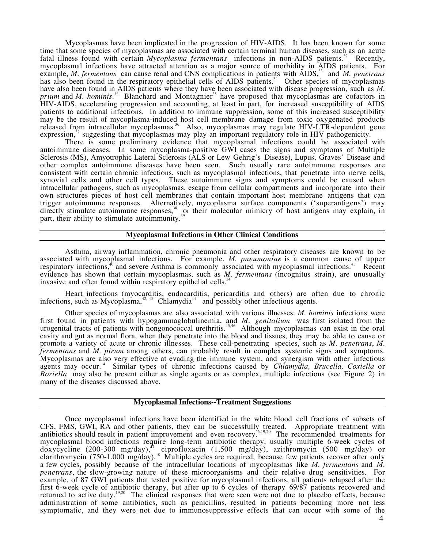Mycoplasmas have been implicated in the progression of HIV-AIDS. It has been known for some time that some species of mycoplasmas are associated with certain terminal human diseases, such as an acute fatal illness found with certain *Mycoplasma fermentans* infections in non-AIDS patients.<sup>32</sup> Recently, mycoplasmal infections have attracted attention as a major source of morbidity in AIDS patients. For example, *M. fermentans* can cause renal and CNS complications in patients with AIDS,<sup>33</sup> and M. penetrans has also been found in the respiratory epithelial cells of AIDS patients.<sup>34</sup> Other species of mycoplasmas have also been found in AIDS patients where they have been associated with disease progression, such as *M*. *prium* and *M. hominis.*<sup>32</sup> Blanchard and Montagnier<sup>35</sup> have proposed that mycoplasmas are cofactors in HIV-AIDS, accelerating progression and accounting, at least in part, for increased susceptibility of AIDS patients to additional infections. In addition to immune suppression, some of this increased susceptibility may be the result of mycoplasma-induced host cell membrane damage from toxic oxygenated products released from intracellular mycoplasmas.<sup>36</sup> Also, mycoplasmas may regulate HIV-LTR-dependent gene expression,<sup>37</sup> suggesting that mycoplasmas may play an important regulatory role in HIV pathogenicity.

There is some preliminary evidence that mycoplasmal infections could be associated with autoimmune diseases. In some mycoplasma-positive GWI cases the signs and symptoms of Multiple Sclerosis (MS), Amyotrophic Lateral Sclerosis (ALS or Lew Gehrig's Disease), Lupus, Graves' Disease and other complex autoimmune diseases have been seen. Such usually rare autoimmune responses are consistent with certain chronic infections, such as mycoplasmal infections, that penetrate into nerve cells, synovial cells and other cell types. These autoimmune signs and symptoms could be caused when intracellular pathogens, such as mycoplasmas, escape from cellular compartments and incorporate into their own structures pieces of host cell membranes that contain important host membrane antigens that can trigger autoimmune responses. Alternatively, mycoplasma surface components ('superantigens') may directly stimulate autoimmune responses,<sup>38</sup> or their molecular mimicry of host antigens may explain, in part, their ability to stimulate autoimmunity.<sup>39</sup>

#### **Mycoplasmal Infections in Other Clinical Conditions**

Asthma, airway inflammation, chronic pneumonia and other respiratory diseases are known to be associated with mycoplasmal infections. For example, *M. pneumoniae* is a common cause of upper respiratory infections,<sup>40</sup> and severe Asthma is commonly associated with mycoplasmal infections.<sup>41</sup> Recent evidence has shown that certain mycoplasmas, such as *M. fermentans* (incognitus strain), are unusually invasive and often found within respiratory epithelial cells.<sup>34</sup>

Heart infections (myocarditis, endocarditis, pericarditis and others) are often due to chronic infections, such as Mycoplasma, $42, 43$  Chlamydia $44$  and possibly other infectious agents.

Other species of mycoplasmas are also associated with various illnesses: *M. hominis* infections were first found in patients with hypogammaglobulinemia, and *M. genitalium* was first isolated from the urogenital tracts of patients with nongonococcal urethritis.<sup>45,46</sup> Although mycoplasmas can exist in the oral cavity and gut as normal flora, when they penetrate into the blood and tissues, they may be able to cause or promote a variety of acute or chronic illnesses. These cell-penetrating species, such as *M. penetrans*, *M. fermentans* and *M. pirum* among others, can probably result in complex systemic signs and symptoms. Mycoplasmas are also very effective at evading the immune system, and synergism with other infectious agents may occur.14 Similar types of chronic infections caused by *Chlamydia, Brucella, Coxiella* or *Boriella* may also be present either as single agents or as complex, multiple infections (see Figure 2) in many of the diseases discussed above.

#### **Mycoplasmal Infections--Treatment Suggestions**

Once mycoplasmal infections have been identified in the white blood cell fractions of subsets of CFS, FMS, GWI, RA and other patients, they can be successfully treated. Appropriate treatment with antibiotics should result in patient improvement and even recovery.<sup>6,19,20</sup> The recommended treatments for mycoplasmal blood infections require long-term antibiotic therapy, usually multiple 6-week cycles of doxycycline (200-300 mg/day),<sup>47</sup> ciprofloxacin (1,500 mg/day), azithromycin (500 mg/day) or clarithromycin (750-1,000 mg/day).<sup>48</sup> Multiple cycles are required, because few patients recover after only a few cycles, possibly because of the intracellular locations of mycoplasmas like *M. fermentans* and *M. penetrans*, the slow-growing nature of these microorganisms and their relative drug sensitivities. For example, of 87 GWI patients that tested positive for mycoplasmal infections, all patients relapsed after the first 6-week cycle of antibiotic therapy, but after up to 6 cycles of therapy 69/87 patients recovered and returned to active duty.<sup>19,20</sup> The clinical responses that were seen were not due to placebo effects, because administration of some antibiotics, such as penicillins, resulted in patients becoming more not less symptomatic, and they were not due to immunosuppressive effects that can occur with some of the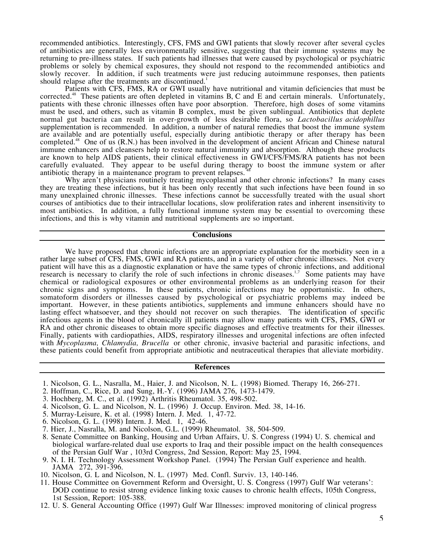recommended antibiotics. Interestingly, CFS, FMS and GWI patients that slowly recover after several cycles of antibiotics are generally less environmentally sensitive, suggesting that their immune systems may be returning to pre-illness states. If such patients had illnesses that were caused by psychological or psychiatric problems or solely by chemical exposures, they should not respond to the recommended antibiotics and slowly recover. In addition, if such treatments were just reducing autoimmune responses, then patients should relapse after the treatments are discontinued.<sup>1</sup>

Patients with CFS, FMS, RA or GWI usually have nutritional and vitamin deficiencies that must be corrected.<sup>48</sup> These patients are often depleted in vitamins B, C and E and certain minerals. Unfortunately, patients with these chronic illnesses often have poor absorption. Therefore, high doses of some vitamins must be used, and others, such as vitamin B complex, must be given sublingual. Antibiotics that deplete normal gut bacteria can result in over-growth of less desirable flora, so *Lactobacillus acidophillus* supplementation is recommended. In addition, a number of natural remedies that boost the immune system are available and are potentially useful, especially during antibiotic therapy or after therapy has been completed.<sup>48</sup> One of us (R.N.) has been involved in the development of ancient African and Chinese natural immune enhancers and cleansers help to restore natural immunity and absorption. Although these products are known to help AIDS patients, their clinical effectiveness in GWI/CFS/FMS/RA patients has not been carefully evaluated. They appear to be useful during therapy to boost the immune system or after antibiotic therapy in a maintenance program to prevent relapses.<sup>3</sup>

Why aren't physicians routinely treating mycoplasmal and other chronic infections? In many cases they are treating these infections, but it has been only recently that such infections have been found in so many unexplained chronic illnesses. These infections cannot be successfully treated with the usual short courses of antibiotics due to their intracellular locations, slow proliferation rates and inherent insensitivity to most antibiotics. In addition, a fully functional immune system may be essential to overcoming these infections, and this is why vitamin and nutritional supplements are so important.

### **Conclusions**

We have proposed that chronic infections are an appropriate explanation for the morbidity seen in a rather large subset of CFS, FMS, GWI and RA patients, and in a variety of other chronic illnesses. Not every patient will have this as a diagnostic explanation or have the same types of chronic infections, and additional research is necessary to clarify the role of such infections in chronic diseases.<sup>1,7</sup> Some patients may have chemical or radiological exposures or other environmental problems as an underlying reason for their chronic signs and symptoms. In these patients, chronic infections may be opportunistic. In others, somatoform disorders or illnesses caused by psychological or psychiatric problems may indeed be important. However, in these patients antibiotics, supplements and immune enhancers should have no lasting effect whatsoever, and they should not recover on such therapies. The identification of specific infectious agents in the blood of chronically ill patients may allow many patients with CFS, FMS, GWI or RA and other chronic diseases to obtain more specific diagnoses and effective treatments for their illnesses. Finally, patients with cardiopathies, AIDS, respiratory illnesses and urogenital infections are often infected with *Mycoplasma, Chlamydia, Brucella* or other chronic, invasive bacterial and parasitic infections, and these patients could benefit from appropriate antibiotic and neutraceutical therapies that alleviate morbidity.

#### **References**

- 1. Nicolson, G. L., Nasralla, M., Haier, J. and Nicolson, N. L. (1998) Biomed. Therapy 16, 266-271.
- 2. Hoffman, C., Rice, D. and Sung, H.-Y. (1996) JAMA 276, 1473-1479.
- 3. Hochberg, M. C., et al. (1992) Arthritis Rheumatol. 35, 498-502.
- 4. Nicolson, G. L. and Nicolson, N. L. (1996) J. Occup. Environ. Med. 38, 14-16.
- 5. Murray-Leisure, K. et al. (1998) Intern. J. Med. 1, 47-72.
- 6. Nicolson, G. L. (1998) Intern. J. Med. 1, 42-46.
- 7. Hier, J., Nasralla, M. and Nicolson, G.L. (1999) Rheumatol. 38, 504-509.
- 8. Senate Committee on Banking, Housing and Urban Affairs, U. S. Congress (1994) U. S. chemical and biological warfare-related dual use exports to Iraq and their possible impact on the health consequences of the Persian Gulf War , 103rd Congress, 2nd Session, Report: May 25, 1994.
- 9. N. I. H. Technology Assessment Workshop Panel. (1994) The Persian Gulf experience and health. JAMA 272, 391-396.
- 10. Nicolson, G. L and Nicolson, N. L. (1997) Med. Confl. Surviv. 13, 140-146.
- 11. House Committee on Government Reform and Oversight, U. S. Congress (1997) Gulf War veterans': DOD continue to resist strong evidence linking toxic causes to chronic health effects, 105th Congress, 1st Session, Report: 105-388.
- 12. U. S. General Accounting Office (1997) Gulf War Illnesses: improved monitoring of clinical progress